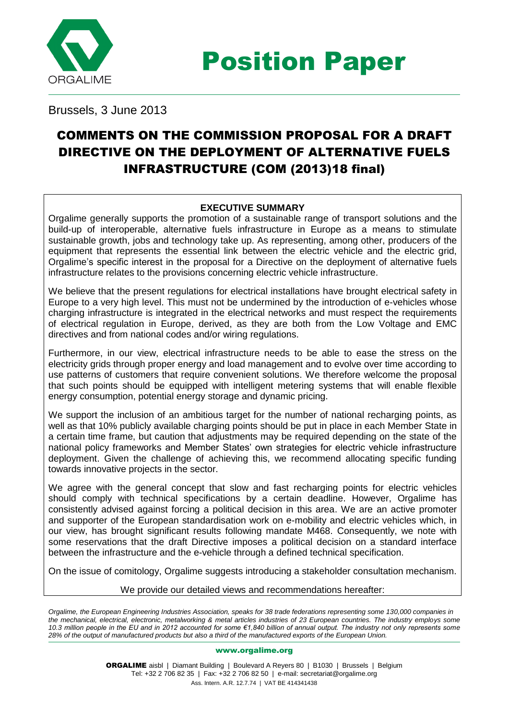

Position Paper

Brussels, 3 June 2013

# COMMENTS ON THE COMMISSION PROPOSAL FOR A DRAFT DIRECTIVE ON THE DEPLOYMENT OF ALTERNATIVE FUELS INFRASTRUCTURE (COM (2013)18 final)

# **EXECUTIVE SUMMARY**

Orgalime generally supports the promotion of a sustainable range of transport solutions and the build-up of interoperable, alternative fuels infrastructure in Europe as a means to stimulate sustainable growth, jobs and technology take up. As representing, among other, producers of the equipment that represents the essential link between the electric vehicle and the electric grid, Orgalime's specific interest in the proposal for a Directive on the deployment of alternative fuels infrastructure relates to the provisions concerning electric vehicle infrastructure.

We believe that the present regulations for electrical installations have brought electrical safety in Europe to a very high level. This must not be undermined by the introduction of e-vehicles whose charging infrastructure is integrated in the electrical networks and must respect the requirements of electrical regulation in Europe, derived, as they are both from the Low Voltage and EMC directives and from national codes and/or wiring regulations.

Furthermore, in our view, electrical infrastructure needs to be able to ease the stress on the electricity grids through proper energy and load management and to evolve over time according to use patterns of customers that require convenient solutions. We therefore welcome the proposal that such points should be equipped with intelligent metering systems that will enable flexible energy consumption, potential energy storage and dynamic pricing.

We support the inclusion of an ambitious target for the number of national recharging points, as well as that 10% publicly available charging points should be put in place in each Member State in a certain time frame, but caution that adjustments may be required depending on the state of the national policy frameworks and Member States' own strategies for electric vehicle infrastructure deployment. Given the challenge of achieving this, we recommend allocating specific funding towards innovative projects in the sector.

We agree with the general concept that slow and fast recharging points for electric vehicles should comply with technical specifications by a certain deadline. However, Orgalime has consistently advised against forcing a political decision in this area. We are an active promoter and supporter of the European standardisation work on e-mobility and electric vehicles which, in our view, has brought significant results following mandate M468. Consequently, we note with some reservations that the draft Directive imposes a political decision on a standard interface between the infrastructure and the e-vehicle through a defined technical specification.

On the issue of comitology, Orgalime suggests introducing a stakeholder consultation mechanism.

### We provide our detailed views and recommendations hereafter:

*Orgalime, the European Engineering Industries Association, speaks for 38 trade federations representing some 130,000 companies in the mechanical, electrical, electronic, metalworking & metal articles industries of 23 European countries. The industry employs some 10.3 million people in the EU and in 2012 accounted for some €1,840 billion of annual output. The industry not only represents some 28% of the output of manufactured products but also a third of the manufactured exports of the European Union.*

#### www.orgalime.org

ORGALIME aisbl | Diamant Building | Boulevard A Reyers 80 | B1030 | Brussels | Belgium Tel: +32 2 706 82 35 | Fax: +32 2 706 82 50 | e-mail: secretariat@orgalime.org Ass. Intern. A.R. 12.7.74 | VAT BE 414341438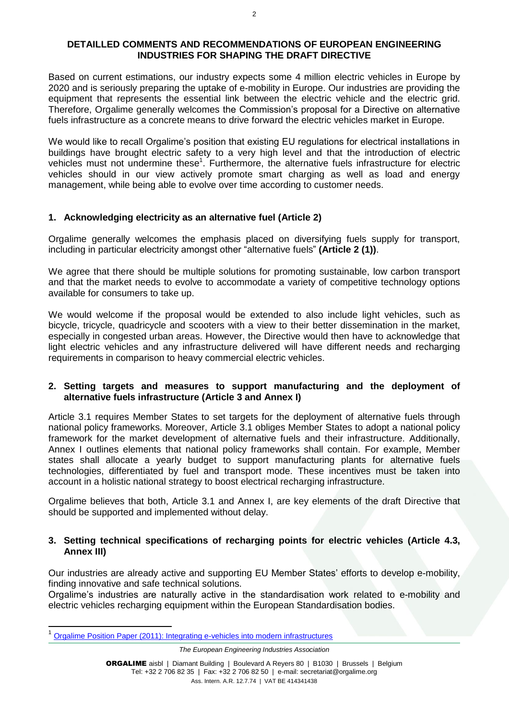#### **DETAILLED COMMENTS AND RECOMMENDATIONS OF EUROPEAN ENGINEERING INDUSTRIES FOR SHAPING THE DRAFT DIRECTIVE**

Based on current estimations, our industry expects some 4 million electric vehicles in Europe by 2020 and is seriously preparing the uptake of e-mobility in Europe. Our industries are providing the equipment that represents the essential link between the electric vehicle and the electric grid. Therefore, Orgalime generally welcomes the Commission's proposal for a Directive on alternative fuels infrastructure as a concrete means to drive forward the electric vehicles market in Europe.

We would like to recall Orgalime's position that existing EU regulations for electrical installations in buildings have brought electric safety to a very high level and that the introduction of electric vehicles must not undermine these<sup>1</sup>. Furthermore, the alternative fuels infrastructure for electric vehicles should in our view actively promote smart charging as well as load and energy management, while being able to evolve over time according to customer needs.

### **1. Acknowledging electricity as an alternative fuel (Article 2)**

Orgalime generally welcomes the emphasis placed on diversifying fuels supply for transport, including in particular electricity amongst other "alternative fuels" **(Article 2 (1))**.

We agree that there should be multiple solutions for promoting sustainable, low carbon transport and that the market needs to evolve to accommodate a variety of competitive technology options available for consumers to take up.

We would welcome if the proposal would be extended to also include light vehicles, such as bicycle, tricycle, quadricycle and scooters with a view to their better dissemination in the market, especially in congested urban areas. However, the Directive would then have to acknowledge that light electric vehicles and any infrastructure delivered will have different needs and recharging requirements in comparison to heavy commercial electric vehicles.

### **2. Setting targets and measures to support manufacturing and the deployment of alternative fuels infrastructure (Article 3 and Annex I)**

Article 3.1 requires Member States to set targets for the deployment of alternative fuels through national policy frameworks. Moreover, Article 3.1 obliges Member States to adopt a national policy framework for the market development of alternative fuels and their infrastructure. Additionally, Annex I outlines elements that national policy frameworks shall contain. For example, Member states shall allocate a yearly budget to support manufacturing plants for alternative fuels technologies, differentiated by fuel and transport mode. These incentives must be taken into account in a holistic national strategy to boost electrical recharging infrastructure.

Orgalime believes that both, Article 3.1 and Annex I, are key elements of the draft Directive that should be supported and implemented without delay.

### **3. Setting technical specifications of recharging points for electric vehicles (Article 4.3, Annex III)**

Our industries are already active and supporting EU Member States' efforts to develop e-mobility, finding innovative and safe technical solutions.

Orgalime's industries are naturally active in the standardisation work related to e-mobility and electric vehicles recharging equipment within the European Standardisation bodies.

*The European Engineering Industries Association* 

<sup>1</sup> [Orgalime Position Paper \(2011\): Integrating e-vehicles into modern infrastructures](http://www.orgalime.org/sites/default/files/position-papers/PP_Integrating_e-vehicles_into_modern_%20infrastructures_Nov11.pdf)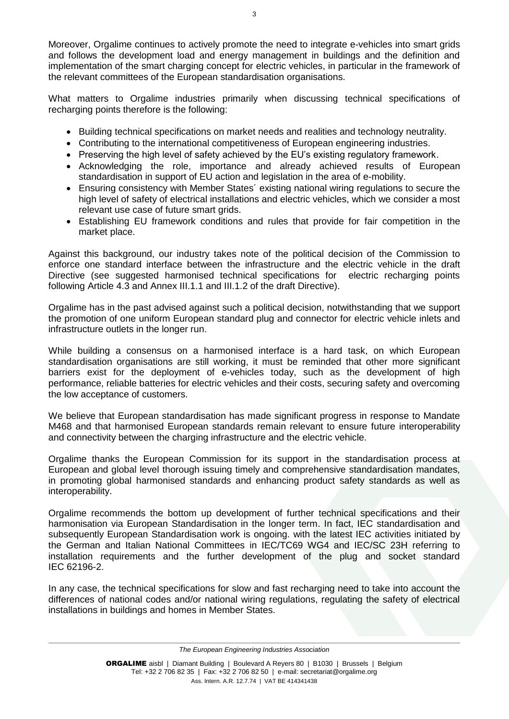Moreover, Orgalime continues to actively promote the need to integrate e-vehicles into smart grids and follows the development load and energy management in buildings and the definition and implementation of the smart charging concept for electric vehicles, in particular in the framework of the relevant committees of the European standardisation organisations.

What matters to Orgalime industries primarily when discussing technical specifications of recharging points therefore is the following:

- Building technical specifications on market needs and realities and technology neutrality.
- Contributing to the international competitiveness of European engineering industries.
- Preserving the high level of safety achieved by the EU's existing regulatory framework.
- Acknowledging the role, importance and already achieved results of European standardisation in support of EU action and legislation in the area of e-mobility.
- Ensuring consistency with Member States´ existing national wiring regulations to secure the high level of safety of electrical installations and electric vehicles, which we consider a most relevant use case of future smart grids.
- Establishing EU framework conditions and rules that provide for fair competition in the market place.

Against this background, our industry takes note of the political decision of the Commission to enforce one standard interface between the infrastructure and the electric vehicle in the draft Directive (see suggested harmonised technical specifications for electric recharging points following Article 4.3 and Annex III.1.1 and III.1.2 of the draft Directive).

Orgalime has in the past advised against such a political decision, notwithstanding that we support the promotion of one uniform European standard plug and connector for electric vehicle inlets and infrastructure outlets in the longer run.

While building a consensus on a harmonised interface is a hard task, on which European standardisation organisations are still working, it must be reminded that other more significant barriers exist for the deployment of e-vehicles today, such as the development of high performance, reliable batteries for electric vehicles and their costs, securing safety and overcoming the low acceptance of customers.

We believe that European standardisation has made significant progress in response to Mandate M468 and that harmonised European standards remain relevant to ensure future interoperability and connectivity between the charging infrastructure and the electric vehicle.

Orgalime thanks the European Commission for its support in the standardisation process at European and global level thorough issuing timely and comprehensive standardisation mandates, in promoting global harmonised standards and enhancing product safety standards as well as interoperability.

Orgalime recommends the bottom up development of further technical specifications and their harmonisation via European Standardisation in the longer term. In fact, IEC standardisation and subsequently European Standardisation work is ongoing. with the latest IEC activities initiated by the German and Italian National Committees in IEC/TC69 WG4 and IEC/SC 23H referring to installation requirements and the further development of the plug and socket standard IEC 62196-2.

In any case, the technical specifications for slow and fast recharging need to take into account the differences of national codes and/or national wiring regulations, regulating the safety of electrical installations in buildings and homes in Member States.

*The European Engineering Industries Association*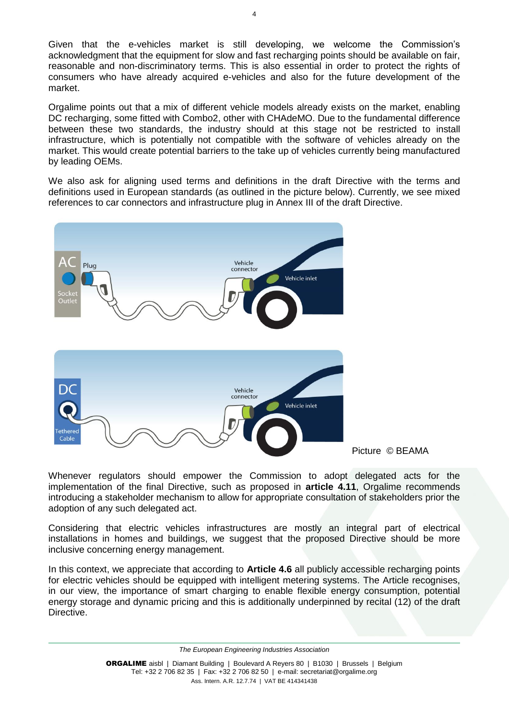Given that the e-vehicles market is still developing, we welcome the Commission's acknowledgment that the equipment for slow and fast recharging points should be available on fair, reasonable and non-discriminatory terms. This is also essential in order to protect the rights of consumers who have already acquired e-vehicles and also for the future development of the market.

Orgalime points out that a mix of different vehicle models already exists on the market, enabling DC recharging, some fitted with Combo2, other with CHAdeMO. Due to the fundamental difference between these two standards, the industry should at this stage not be restricted to install infrastructure, which is potentially not compatible with the software of vehicles already on the market. This would create potential barriers to the take up of vehicles currently being manufactured by leading OEMs.

We also ask for aligning used terms and definitions in the draft Directive with the terms and definitions used in European standards (as outlined in the picture below). Currently, we see mixed references to car connectors and infrastructure plug in Annex III of the draft Directive.



Picture © BEAMA

Whenever regulators should empower the Commission to adopt delegated acts for the implementation of the final Directive, such as proposed in **article 4.11**, Orgalime recommends introducing a stakeholder mechanism to allow for appropriate consultation of stakeholders prior the adoption of any such delegated act.

Considering that electric vehicles infrastructures are mostly an integral part of electrical installations in homes and buildings, we suggest that the proposed Directive should be more inclusive concerning energy management.

In this context, we appreciate that according to **Article 4.6** all publicly accessible recharging points for electric vehicles should be equipped with intelligent metering systems. The Article recognises, in our view, the importance of smart charging to enable flexible energy consumption, potential energy storage and dynamic pricing and this is additionally underpinned by recital (12) of the draft Directive.

*The European Engineering Industries Association*